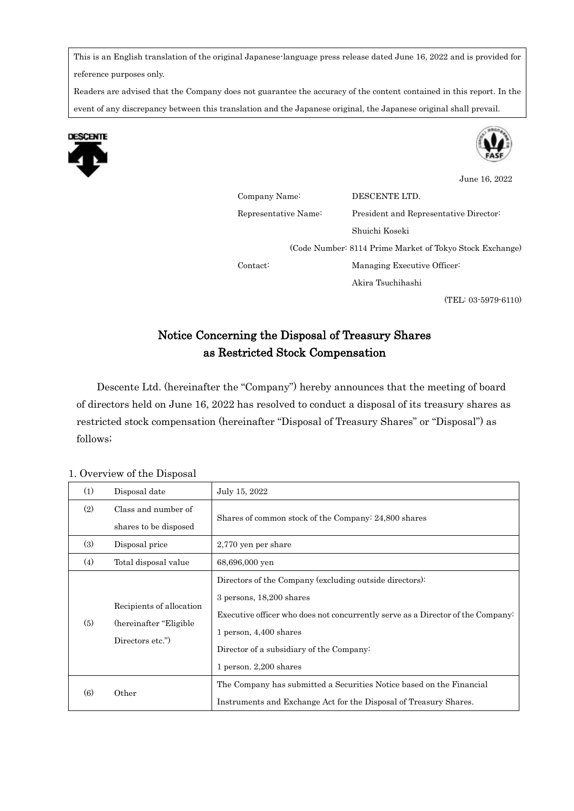This is an English translation of the original Japanese-language press release dated June 16, 2022 and is provided for reference purposes only.

Readers are advised that the Company does not guarantee the accuracy of the content contained in this report. In the event of any discrepancy between this translation and the Japanese original, the Japanese original shall prevail.





June 16, 2022

Company Name: DESCENTE LTD. Representative Name: President and Representative Director: Shuichi Koseki (Code Number: 8114 Prime Market of Tokyo Stock Exchange) Contact: Managing Executive Officer: Akira Tsuchihashi

(TEL: 03-5979-6110)

# Notice Concerning the Disposal of Treasury Shares as Restricted Stock Compensation

Descente Ltd. (hereinafter the "Company") hereby announces that the meeting of board of directors held on June 16, 2022 has resolved to conduct a disposal of its treasury shares as restricted stock compensation (hereinafter "Disposal of Treasury Shares" or "Disposal") as follows;

### 1. Overview of the Disposal

| (1) | Disposal date                                                            | July 15, 2022                                                                                                                                                                                                                                                             |
|-----|--------------------------------------------------------------------------|---------------------------------------------------------------------------------------------------------------------------------------------------------------------------------------------------------------------------------------------------------------------------|
| (2) | Class and number of                                                      | Shares of common stock of the Company: 24,800 shares                                                                                                                                                                                                                      |
|     | shares to be disposed                                                    |                                                                                                                                                                                                                                                                           |
| (3) | Disposal price                                                           | 2,770 yen per share                                                                                                                                                                                                                                                       |
| (4) | Total disposal value                                                     | 68,696,000 yen                                                                                                                                                                                                                                                            |
| (5) | Recipients of allocation<br>(hereinafter "Eligible")<br>Directors etc.") | Directors of the Company (excluding outside directors):<br>3 persons, 18,200 shares<br>Executive officer who does not concurrently serve as a Director of the Company<br>1 person, $4,400$ shares<br>Director of a subsidiary of the Company:<br>1 person. $2,200$ shares |
| (6) | Other                                                                    | The Company has submitted a Securities Notice based on the Financial<br>Instruments and Exchange Act for the Disposal of Treasury Shares.                                                                                                                                 |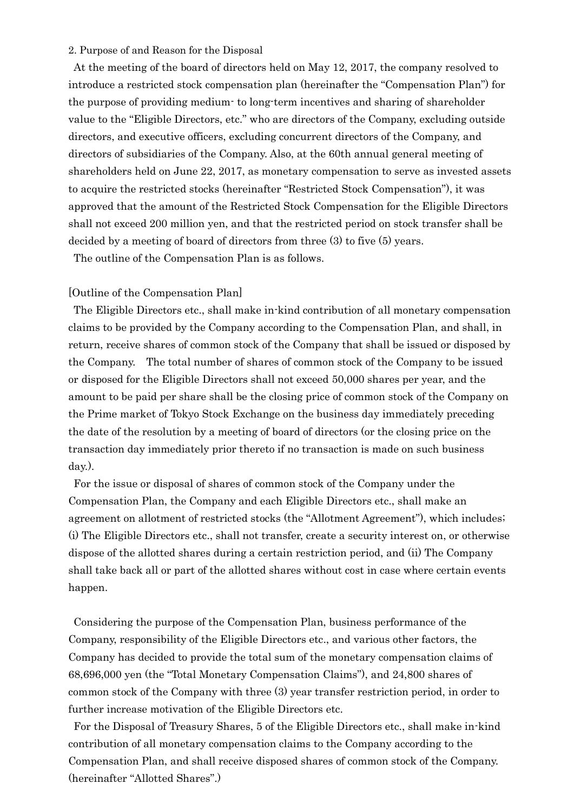#### 2. Purpose of and Reason for the Disposal

At the meeting of the board of directors held on May 12, 2017, the company resolved to introduce a restricted stock compensation plan (hereinafter the "Compensation Plan") for the purpose of providing medium- to long-term incentives and sharing of shareholder value to the "Eligible Directors, etc." who are directors of the Company, excluding outside directors, and executive officers, excluding concurrent directors of the Company, and directors of subsidiaries of the Company. Also, at the 60th annual general meeting of shareholders held on June 22, 2017, as monetary compensation to serve as invested assets to acquire the restricted stocks (hereinafter "Restricted Stock Compensation"), it was approved that the amount of the Restricted Stock Compensation for the Eligible Directors shall not exceed 200 million yen, and that the restricted period on stock transfer shall be decided by a meeting of board of directors from three (3) to five (5) years.

The outline of the Compensation Plan is as follows.

### [Outline of the Compensation Plan]

The Eligible Directors etc., shall make in-kind contribution of all monetary compensation claims to be provided by the Company according to the Compensation Plan, and shall, in return, receive shares of common stock of the Company that shall be issued or disposed by the Company. The total number of shares of common stock of the Company to be issued or disposed for the Eligible Directors shall not exceed 50,000 shares per year, and the amount to be paid per share shall be the closing price of common stock of the Company on the Prime market of Tokyo Stock Exchange on the business day immediately preceding the date of the resolution by a meeting of board of directors (or the closing price on the transaction day immediately prior thereto if no transaction is made on such business day.).

For the issue or disposal of shares of common stock of the Company under the Compensation Plan, the Company and each Eligible Directors etc., shall make an agreement on allotment of restricted stocks (the "Allotment Agreement"), which includes; (i) The Eligible Directors etc., shall not transfer, create a security interest on, or otherwise dispose of the allotted shares during a certain restriction period, and (ii) The Company shall take back all or part of the allotted shares without cost in case where certain events happen.

Considering the purpose of the Compensation Plan, business performance of the Company, responsibility of the Eligible Directors etc., and various other factors, the Company has decided to provide the total sum of the monetary compensation claims of 68,696,000 yen (the "Total Monetary Compensation Claims"), and 24,800 shares of common stock of the Company with three (3) year transfer restriction period, in order to further increase motivation of the Eligible Directors etc.

For the Disposal of Treasury Shares, 5 of the Eligible Directors etc., shall make in-kind contribution of all monetary compensation claims to the Company according to the Compensation Plan, and shall receive disposed shares of common stock of the Company. (hereinafter "Allotted Shares".)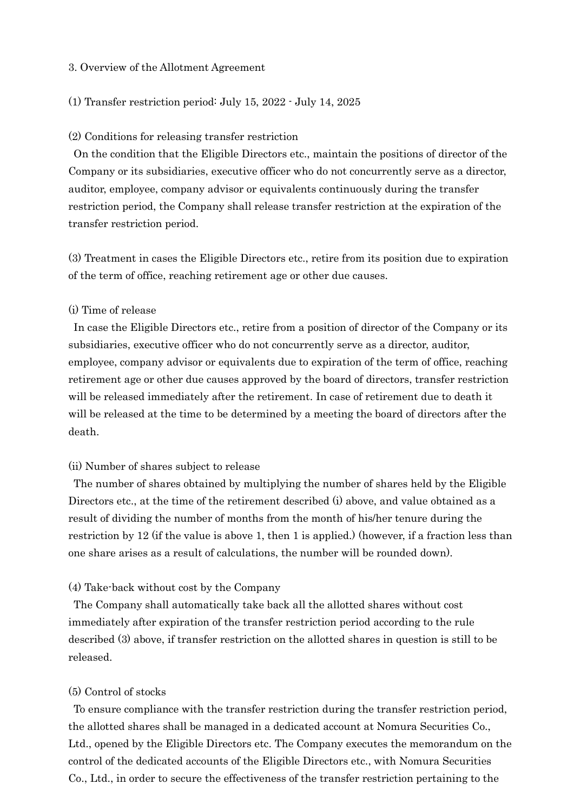#### 3. Overview of the Allotment Agreement

### (1) Transfer restriction period: July 15, 2022 - July 14, 2025

#### (2) Conditions for releasing transfer restriction

On the condition that the Eligible Directors etc., maintain the positions of director of the Company or its subsidiaries, executive officer who do not concurrently serve as a director, auditor, employee, company advisor or equivalents continuously during the transfer restriction period, the Company shall release transfer restriction at the expiration of the transfer restriction period.

(3) Treatment in cases the Eligible Directors etc., retire from its position due to expiration of the term of office, reaching retirement age or other due causes.

### (i) Time of release

In case the Eligible Directors etc., retire from a position of director of the Company or its subsidiaries, executive officer who do not concurrently serve as a director, auditor, employee, company advisor or equivalents due to expiration of the term of office, reaching retirement age or other due causes approved by the board of directors, transfer restriction will be released immediately after the retirement. In case of retirement due to death it will be released at the time to be determined by a meeting the board of directors after the death.

#### (ii) Number of shares subject to release

The number of shares obtained by multiplying the number of shares held by the Eligible Directors etc., at the time of the retirement described (i) above, and value obtained as a result of dividing the number of months from the month of his/her tenure during the restriction by 12 (if the value is above 1, then 1 is applied.) (however, if a fraction less than one share arises as a result of calculations, the number will be rounded down).

#### (4) Take-back without cost by the Company

The Company shall automatically take back all the allotted shares without cost immediately after expiration of the transfer restriction period according to the rule described (3) above, if transfer restriction on the allotted shares in question is still to be released.

### (5) Control of stocks

To ensure compliance with the transfer restriction during the transfer restriction period, the allotted shares shall be managed in a dedicated account at Nomura Securities Co., Ltd., opened by the Eligible Directors etc. The Company executes the memorandum on the control of the dedicated accounts of the Eligible Directors etc., with Nomura Securities Co., Ltd., in order to secure the effectiveness of the transfer restriction pertaining to the